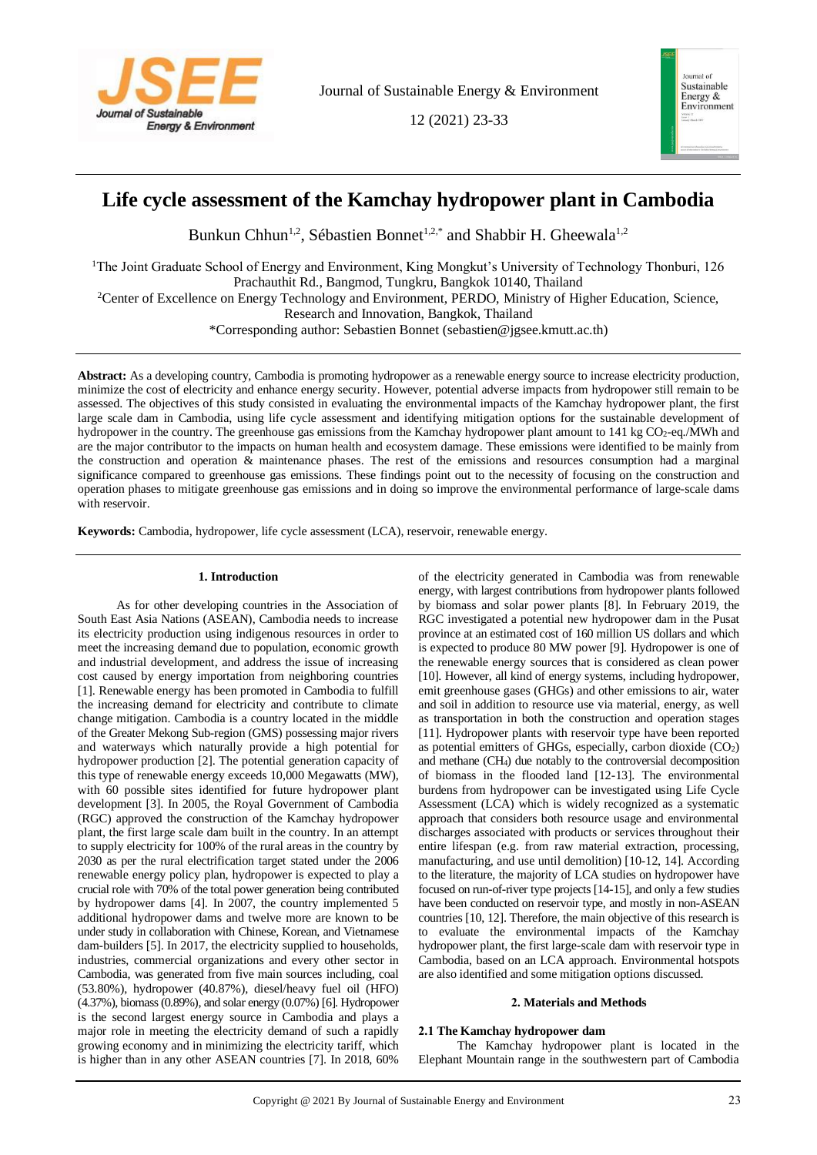

12 (2021) 23-33



# **Life cycle assessment of the Kamchay hydropower plant in Cambodia**

Bunkun Chhun<sup>1,2</sup>, Sébastien Bonnet<sup>1,2,\*</sup> and Shabbir H. Gheewala<sup>1,2</sup>

<sup>1</sup>The Joint Graduate School of Energy and Environment, King Mongkut's University of Technology Thonburi, 126 Prachauthit Rd., Bangmod, Tungkru, Bangkok 10140, Thailand

<sup>2</sup>Center of Excellence on Energy Technology and Environment, PERDO, Ministry of Higher Education, Science,

Research and Innovation, Bangkok, Thailand

\*Corresponding author: Sebastien Bonnet (sebastien@jgsee.kmutt.ac.th)

**Abstract:** As a developing country, Cambodia is promoting hydropower as a renewable energy source to increase electricity production, minimize the cost of electricity and enhance energy security. However, potential adverse impacts from hydropower still remain to be assessed. The objectives of this study consisted in evaluating the environmental impacts of the Kamchay hydropower plant, the first large scale dam in Cambodia, using life cycle assessment and identifying mitigation options for the sustainable development of hydropower in the country. The greenhouse gas emissions from the Kamchay hydropower plant amount to 141 kg CO<sub>2</sub>-eq./MWh and are the major contributor to the impacts on human health and ecosystem damage. These emissions were identified to be mainly from the construction and operation & maintenance phases. The rest of the emissions and resources consumption had a marginal significance compared to greenhouse gas emissions. These findings point out to the necessity of focusing on the construction and operation phases to mitigate greenhouse gas emissions and in doing so improve the environmental performance of large-scale dams with reservoir.

**Keywords:** Cambodia, hydropower, life cycle assessment (LCA), reservoir, renewable energy.

# **1. Introduction**

As for other developing countries in the Association of South East Asia Nations (ASEAN), Cambodia needs to increase its electricity production using indigenous resources in order to meet the increasing demand due to population, economic growth and industrial development, and address the issue of increasing cost caused by energy importation from neighboring countries [1]. Renewable energy has been promoted in Cambodia to fulfill the increasing demand for electricity and contribute to climate change mitigation. Cambodia is a country located in the middle of the Greater Mekong Sub-region (GMS) possessing major rivers and waterways which naturally provide a high potential for hydropower production [2]. The potential generation capacity of this type of renewable energy exceeds 10,000 Megawatts (MW), with 60 possible sites identified for future hydropower plant development [3]. In 2005, the Royal Government of Cambodia (RGC) approved the construction of the Kamchay hydropower plant, the first large scale dam built in the country. In an attempt to supply electricity for 100% of the rural areas in the country by 2030 as per the rural electrification target stated under the 2006 renewable energy policy plan, hydropower is expected to play a crucial role with 70% of the total power generation being contributed by hydropower dams [4]. In 2007, the country implemented 5 additional hydropower dams and twelve more are known to be under study in collaboration with Chinese, Korean, and Vietnamese dam-builders [5]. In 2017, the electricity supplied to households, industries, commercial organizations and every other sector in Cambodia, was generated from five main sources including, coal (53.80%), hydropower (40.87%), diesel/heavy fuel oil (HFO) (4.37%), biomass(0.89%), and solar energy (0.07%) [6]. Hydropower is the second largest energy source in Cambodia and plays a major role in meeting the electricity demand of such a rapidly growing economy and in minimizing the electricity tariff, which is higher than in any other ASEAN countries [7]. In 2018, 60%

of the electricity generated in Cambodia was from renewable energy, with largest contributions from hydropower plants followed by biomass and solar power plants [8]. In February 2019, the RGC investigated a potential new hydropower dam in the Pusat province at an estimated cost of 160 million US dollars and which is expected to produce 80 MW power [9]. Hydropower is one of the renewable energy sources that is considered as clean power [10]. However, all kind of energy systems, including hydropower, emit greenhouse gases (GHGs) and other emissions to air, water and soil in addition to resource use via material, energy, as well as transportation in both the construction and operation stages [11]. Hydropower plants with reservoir type have been reported as potential emitters of GHGs, especially, carbon dioxide  $(CO<sub>2</sub>)$ and methane (CH4) due notably to the controversial decomposition of biomass in the flooded land [12-13]. The environmental burdens from hydropower can be investigated using Life Cycle Assessment (LCA) which is widely recognized as a systematic approach that considers both resource usage and environmental discharges associated with products or services throughout their entire lifespan (e.g. from raw material extraction, processing, manufacturing, and use until demolition) [10-12, 14]. According to the literature, the majority of LCA studies on hydropower have focused on run-of-river type projects[14-15], and only a few studies have been conducted on reservoir type, and mostly in non-ASEAN countries [10, 12]. Therefore, the main objective of this research is to evaluate the environmental impacts of the Kamchay hydropower plant, the first large-scale dam with reservoir type in Cambodia, based on an LCA approach. Environmental hotspots are also identified and some mitigation options discussed.

## **2. Materials and Methods**

# **2.1 The Kamchay hydropower dam**

The Kamchay hydropower plant is located in the Elephant Mountain range in the southwestern part of Cambodia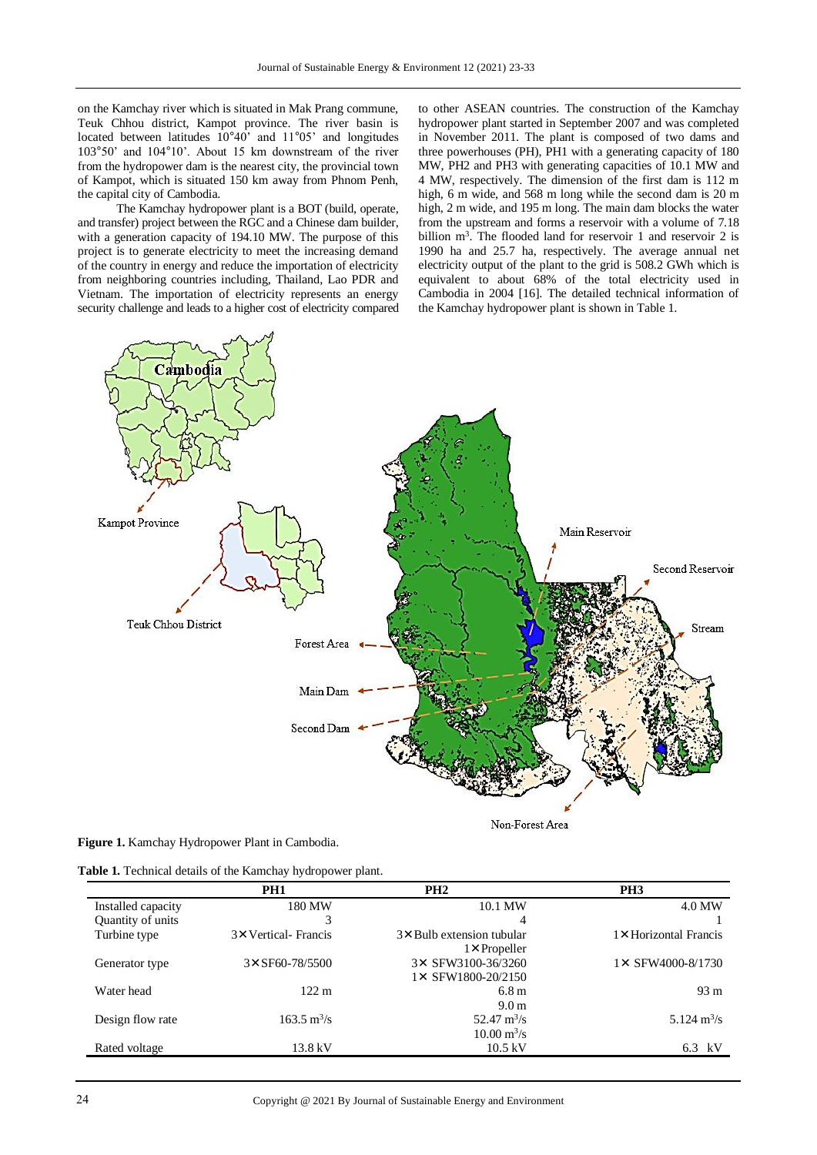on the Kamchay river which is situated in Mak Prang commune, Teuk Chhou district, Kampot province. The river basin is located between latitudes 10°40' and 11°05' and longitudes 103°50' and 104°10'. About 15 km downstream of the river from the hydropower dam is the nearest city, the provincial town of Kampot, which is situated 150 km away from Phnom Penh, the capital city of Cambodia.

The Kamchay hydropower plant is a BOT (build, operate, and transfer) project between the RGC and a Chinese dam builder, with a generation capacity of 194.10 MW. The purpose of this project is to generate electricity to meet the increasing demand of the country in energy and reduce the importation of electricity from neighboring countries including, Thailand, Lao PDR and Vietnam. The importation of electricity represents an energy security challenge and leads to a higher cost of electricity compared

to other ASEAN countries. The construction of the Kamchay hydropower plant started in September 2007 and was completed in November 2011. The plant is composed of two dams and three powerhouses (PH), PH1 with a generating capacity of 180 MW, PH2 and PH3 with generating capacities of 10.1 MW and 4 MW, respectively. The dimension of the first dam is 112 m high, 6 m wide, and 568 m long while the second dam is 20 m high, 2 m wide, and 195 m long. The main dam blocks the water from the upstream and forms a reservoir with a volume of 7.18 billion m<sup>3</sup>. The flooded land for reservoir 1 and reservoir 2 is 1990 ha and 25.7 ha, respectively. The average annual net electricity output of the plant to the grid is 508.2 GWh which is equivalent to about 68% of the total electricity used in Cambodia in 2004 [16]. The detailed technical information of the Kamchay hydropower plant is shown in Table 1.



**Table 1.** Technical details of the Kamchay hydropower plant.

|                    | PH <sub>1</sub>              | PH <sub>2</sub>                                              | PH <sub>3</sub>              |
|--------------------|------------------------------|--------------------------------------------------------------|------------------------------|
| Installed capacity | 180 MW                       | 10.1 MW                                                      | 4.0 MW                       |
| Quantity of units  | 3                            | 4                                                            |                              |
| Turbine type       | 3×Vertical-Francis           | 3 × Bulb extension tubular<br>$1 \times$ Propeller           | 1 × Horizontal Francis       |
| Generator type     | $3 \times$ SF60-78/5500      | 3× SFW3100-36/3260<br>$1 \times$ SFW1800-20/2150             | $1 \times$ SFW4000-8/1730    |
| Water head         | $122 \text{ m}$              | 6.8 <sub>m</sub><br>9.0 <sub>m</sub>                         | $93 \text{ m}$               |
| Design flow rate   | $163.5 \text{ m}^3/\text{s}$ | $52.47 \text{ m}^3/\text{s}$<br>$10.00 \text{ m}^3/\text{s}$ | $5.124 \text{ m}^3/\text{s}$ |
| Rated voltage      | 13.8 kV                      | $10.5 \text{ kV}$                                            | 6.3<br>kV                    |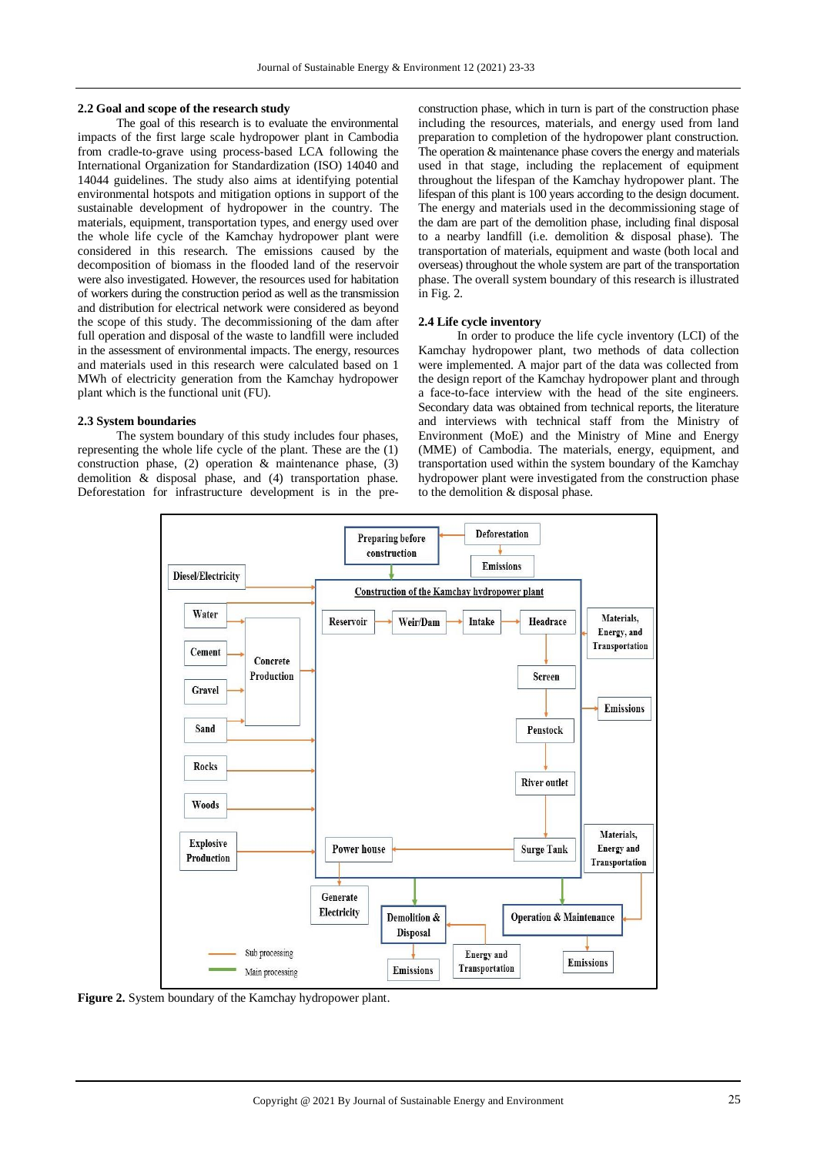#### **2.2 Goal and scope of the research study**

The goal of this research is to evaluate the environmental impacts of the first large scale hydropower plant in Cambodia from cradle-to-grave using process-based LCA following the International Organization for Standardization (ISO) 14040 and 14044 guidelines. The study also aims at identifying potential environmental hotspots and mitigation options in support of the sustainable development of hydropower in the country. The materials, equipment, transportation types, and energy used over the whole life cycle of the Kamchay hydropower plant were considered in this research. The emissions caused by the decomposition of biomass in the flooded land of the reservoir were also investigated. However, the resources used for habitation of workers during the construction period as well as the transmission and distribution for electrical network were considered as beyond the scope of this study. The decommissioning of the dam after full operation and disposal of the waste to landfill were included in the assessment of environmental impacts. The energy, resources and materials used in this research were calculated based on 1 MWh of electricity generation from the Kamchay hydropower plant which is the functional unit (FU).

#### **2.3 System boundaries**

The system boundary of this study includes four phases, representing the whole life cycle of the plant. These are the (1) construction phase, (2) operation & maintenance phase, (3) demolition & disposal phase, and (4) transportation phase. Deforestation for infrastructure development is in the preconstruction phase, which in turn is part of the construction phase including the resources, materials, and energy used from land preparation to completion of the hydropower plant construction. The operation & maintenance phase covers the energy and materials used in that stage, including the replacement of equipment throughout the lifespan of the Kamchay hydropower plant. The lifespan of this plant is 100 years according to the design document. The energy and materials used in the decommissioning stage of the dam are part of the demolition phase, including final disposal to a nearby landfill (i.e. demolition & disposal phase). The transportation of materials, equipment and waste (both local and overseas) throughout the whole system are part of the transportation phase. The overall system boundary of this research is illustrated in Fig. 2.

## **2.4 Life cycle inventory**

In order to produce the life cycle inventory (LCI) of the Kamchay hydropower plant, two methods of data collection were implemented. A major part of the data was collected from the design report of the Kamchay hydropower plant and through a face-to-face interview with the head of the site engineers. Secondary data was obtained from technical reports, the literature and interviews with technical staff from the Ministry of Environment (MoE) and the Ministry of Mine and Energy (MME) of Cambodia. The materials, energy, equipment, and transportation used within the system boundary of the Kamchay hydropower plant were investigated from the construction phase to the demolition & disposal phase.



**Figure 2.** System boundary of the Kamchay hydropower plant.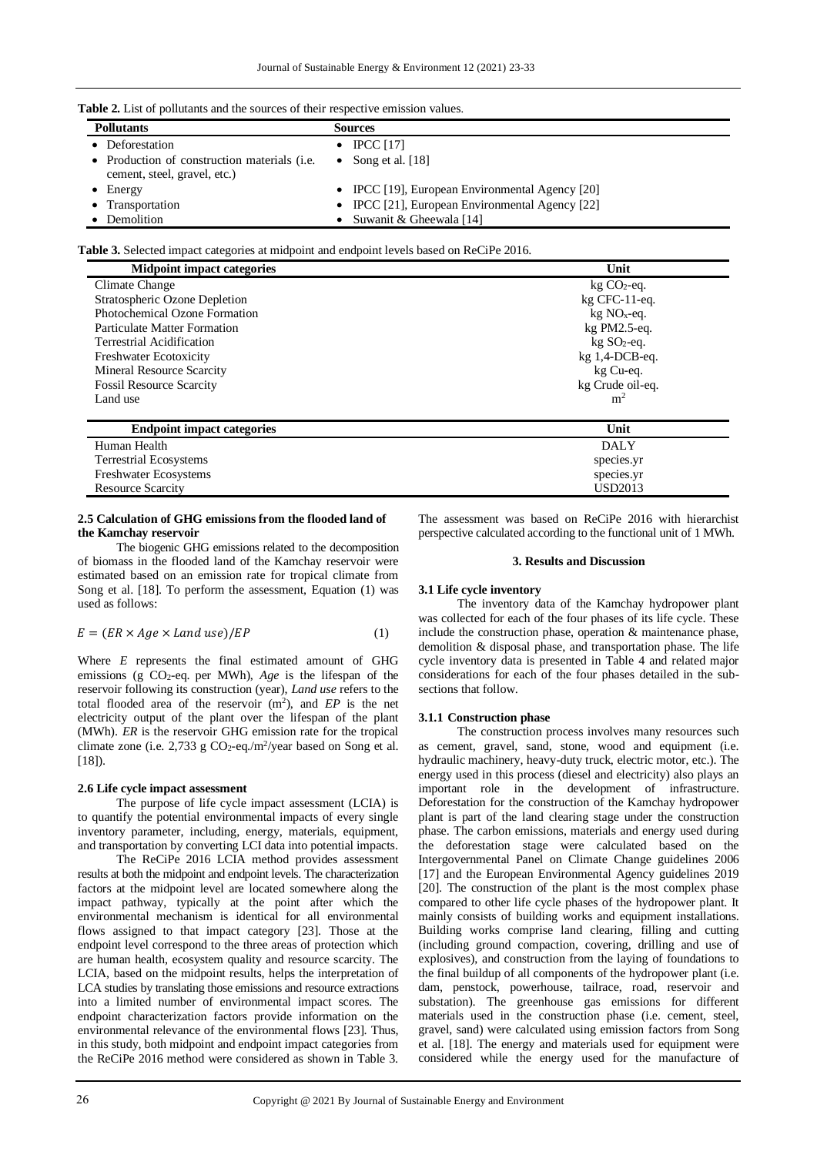| <b>Table 2.</b> List of pollutants and the sources of their respective emission values. |
|-----------------------------------------------------------------------------------------|
|-----------------------------------------------------------------------------------------|

| <b>EXAMPLE 2.</b> EXAMPLE 1.1 FOR THE CONDUCT OF THE REPORT OF $\frac{1}{2}$ is the conduct of $\frac{1}{2}$ |                                                 |  |  |  |
|--------------------------------------------------------------------------------------------------------------|-------------------------------------------------|--|--|--|
| <b>Pollutants</b>                                                                                            | <b>Sources</b>                                  |  |  |  |
| • Deforestation                                                                                              | $\bullet$ IPCC [17]                             |  |  |  |
| • Production of construction materials ( <i>i.e.</i><br>cement, steel, gravel, etc.)                         | Song et al. [18]<br>$\bullet$                   |  |  |  |
| $\bullet$ Energy                                                                                             | • IPCC [19], European Environmental Agency [20] |  |  |  |
| • Transportation                                                                                             | • IPCC [21], European Environmental Agency [22] |  |  |  |
| • Demolition                                                                                                 | • Suwanit & Gheewala [14]                       |  |  |  |

**Table 3.** Selected impact categories at midpoint and endpoint levels based on ReCiPe 2016.

| <b>Midpoint impact categories</b>    | Unit                      |  |  |
|--------------------------------------|---------------------------|--|--|
| Climate Change                       | $kg CO2$ -eq.             |  |  |
| Stratospheric Ozone Depletion        | kg CFC-11-eq.             |  |  |
| <b>Photochemical Ozone Formation</b> | $kg NOx$ -eq.             |  |  |
| Particulate Matter Formation         | $kg PM2.5-eq.$            |  |  |
| Terrestrial Acidification            | $kg$ SO <sub>2</sub> -eq. |  |  |
| <b>Freshwater Ecotoxicity</b>        | $kg$ 1,4-DCB-eq.          |  |  |
| <b>Mineral Resource Scarcity</b>     | kg Cu-eq.                 |  |  |
| <b>Fossil Resource Scarcity</b>      | kg Crude oil-eq.          |  |  |
| Land use                             | m <sup>2</sup>            |  |  |
| <b>Endpoint impact categories</b>    | Unit                      |  |  |
| Human Health                         | <b>DALY</b>               |  |  |
| <b>Terrestrial Ecosystems</b>        | species.yr                |  |  |
| Freshwater Ecosystems                | species.yr                |  |  |
| <b>Resource Scarcity</b>             | USD2013                   |  |  |

# **2.5 Calculation of GHG emissions from the flooded land of the Kamchay reservoir**

The biogenic GHG emissions related to the decomposition of biomass in the flooded land of the Kamchay reservoir were estimated based on an emission rate for tropical climate from Song et al. [18]. To perform the assessment, Equation (1) was used as follows:

$$
E = (ER \times Age \times Land use)/EP \tag{1}
$$

Where *E* represents the final estimated amount of GHG emissions (g CO2-eq. per MWh), *Age* is the lifespan of the reservoir following its construction (year), *Land use* refers to the total flooded area of the reservoir  $(m^2)$ , and  $EP$  is the net electricity output of the plant over the lifespan of the plant (MWh). *ER* is the reservoir GHG emission rate for the tropical climate zone (i.e. 2,733 g  $CO_2$ -eq./m<sup>2</sup>/year based on Song et al.  $[18]$ ).

## **2.6 Life cycle impact assessment**

The purpose of life cycle impact assessment (LCIA) is to quantify the potential environmental impacts of every single inventory parameter, including, energy, materials, equipment, and transportation by converting LCI data into potential impacts.

The ReCiPe 2016 LCIA method provides assessment results at both the midpoint and endpoint levels. The characterization factors at the midpoint level are located somewhere along the impact pathway, typically at the point after which the environmental mechanism is identical for all environmental flows assigned to that impact category [23]. Those at the endpoint level correspond to the three areas of protection which are human health, ecosystem quality and resource scarcity. The LCIA, based on the midpoint results, helps the interpretation of LCA studies by translating those emissions and resource extractions into a limited number of environmental impact scores. The endpoint characterization factors provide information on the environmental relevance of the environmental flows [23]. Thus, in this study, both midpoint and endpoint impact categories from the ReCiPe 2016 method were considered as shown in Table 3.

The assessment was based on ReCiPe 2016 with hierarchist perspective calculated according to the functional unit of 1 MWh.

# **3. Results and Discussion**

#### **3.1 Life cycle inventory**

The inventory data of the Kamchay hydropower plant was collected for each of the four phases of its life cycle. These include the construction phase, operation & maintenance phase, demolition & disposal phase, and transportation phase. The life cycle inventory data is presented in Table 4 and related major considerations for each of the four phases detailed in the subsections that follow.

#### **3.1.1 Construction phase**

The construction process involves many resources such as cement, gravel, sand, stone, wood and equipment (i.e. hydraulic machinery, heavy-duty truck, electric motor, etc.). The energy used in this process (diesel and electricity) also plays an important role in the development of infrastructure. Deforestation for the construction of the Kamchay hydropower plant is part of the land clearing stage under the construction phase. The carbon emissions, materials and energy used during the deforestation stage were calculated based on the Intergovernmental Panel on Climate Change guidelines 2006 [17] and the European Environmental Agency guidelines 2019 [20]. The construction of the plant is the most complex phase compared to other life cycle phases of the hydropower plant. It mainly consists of building works and equipment installations. Building works comprise land clearing, filling and cutting (including ground compaction, covering, drilling and use of explosives), and construction from the laying of foundations to the final buildup of all components of the hydropower plant (i.e. dam, penstock, powerhouse, tailrace, road, reservoir and substation). The greenhouse gas emissions for different materials used in the construction phase (i.e. cement, steel, gravel, sand) were calculated using emission factors from Song et al. [18]. The energy and materials used for equipment were considered while the energy used for the manufacture of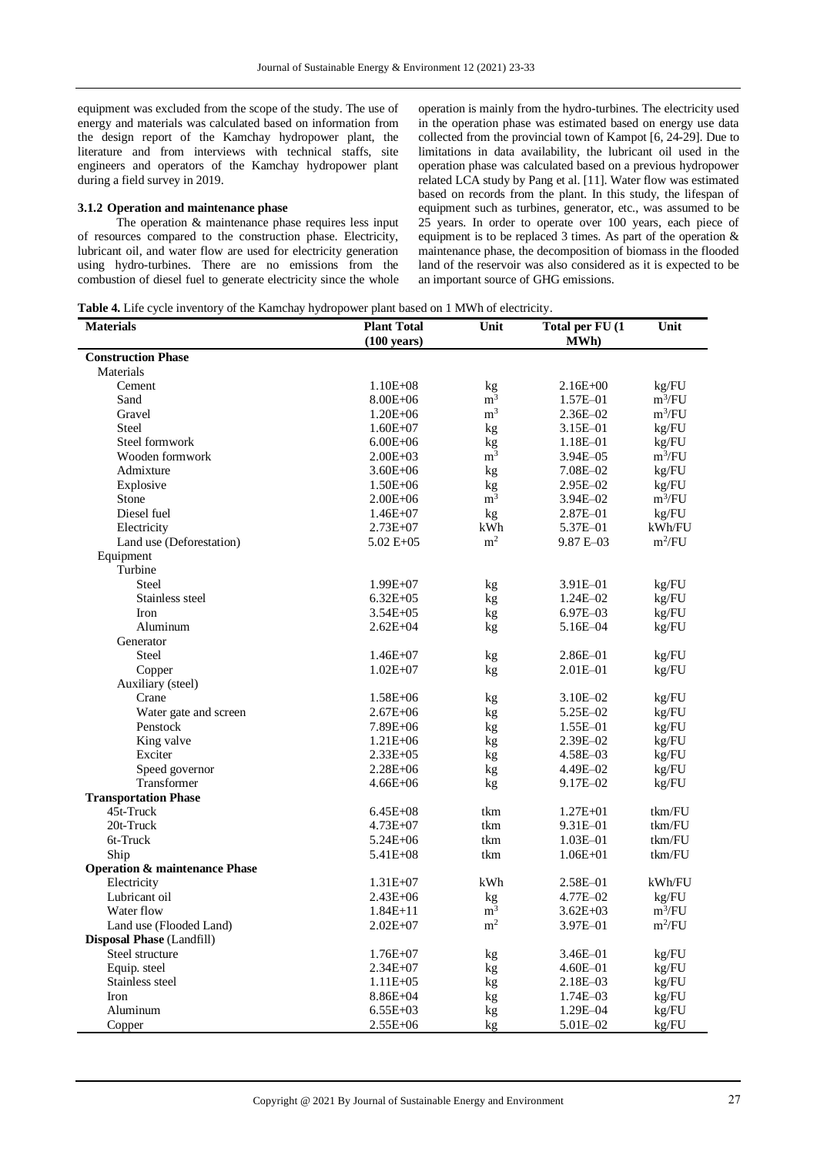equipment was excluded from the scope of the study. The use of energy and materials was calculated based on information from the design report of the Kamchay hydropower plant, the literature and from interviews with technical staffs, site engineers and operators of the Kamchay hydropower plant during a field survey in 2019.

## **3.1.2 Operation and maintenance phase**

The operation & maintenance phase requires less input of resources compared to the construction phase. Electricity, lubricant oil, and water flow are used for electricity generation using hydro-turbines. There are no emissions from the combustion of diesel fuel to generate electricity since the whole operation is mainly from the hydro-turbines. The electricity used in the operation phase was estimated based on energy use data collected from the provincial town of Kampot [6, 24-29]. Due to limitations in data availability, the lubricant oil used in the operation phase was calculated based on a previous hydropower related LCA study by Pang et al. [11]. Water flow was estimated based on records from the plant. In this study, the lifespan of equipment such as turbines, generator, etc., was assumed to be 25 years. In order to operate over 100 years, each piece of equipment is to be replaced 3 times. As part of the operation & maintenance phase, the decomposition of biomass in the flooded land of the reservoir was also considered as it is expected to be an important source of GHG emissions.

**Table 4.** Life cycle inventory of the Kamchay hydropower plant based on 1 MWh of electricity.

| <b>Construction Phase</b><br>Materials<br>Cement<br>$1.10E + 08$<br>$2.16E + 00$<br>kg | kg/FU<br>$m^3/FU$<br>$m^3/FU$<br>kg/FU |
|----------------------------------------------------------------------------------------|----------------------------------------|
|                                                                                        |                                        |
|                                                                                        |                                        |
|                                                                                        |                                        |
| m <sup>3</sup><br>Sand<br>$8.00E + 06$<br>1.57E-01                                     |                                        |
| m <sup>3</sup><br>Gravel<br>$1.20E + 06$<br>2.36E-02                                   |                                        |
| <b>Steel</b><br>3.15E-01<br>$1.60E + 07$<br>kg                                         |                                        |
| Steel formwork<br>$6.00E + 06$<br>1.18E-01<br>kg                                       | kg/FU                                  |
| m <sup>3</sup><br>Wooden formwork<br>$2.00E + 03$<br>3.94E–05                          | $m^3/FU$                               |
| Admixture<br>$3.60E + 06$<br>7.08E-02<br>kg                                            | kg/FU                                  |
| $1.50E + 06$<br>2.95E-02<br>Explosive<br>kg                                            | kg/FU                                  |
| Stone<br>m <sup>3</sup><br>$2.00E + 06$<br>3.94E-02                                    | $m^3/FU$                               |
| Diesel fuel<br>2.87E-01<br>$1.46E + 07$<br>kg                                          | kg/FU                                  |
| kWh<br>Electricity<br>$2.73E + 07$<br>5.37E-01                                         | kWh/FU                                 |
| m <sup>2</sup><br>Land use (Deforestation)<br>$5.02 E + 05$<br>$9.87 E - 03$           | $m^2/FU$                               |
| Equipment                                                                              |                                        |
| Turbine                                                                                |                                        |
| <b>Steel</b><br>$1.99E + 07$<br>3.91E-01<br>kg                                         | kg/FU                                  |
| Stainless steel<br>$6.32E + 0.5$<br>$1.24E - 02$<br>kg                                 | kg/FU                                  |
| $3.54E + 05$<br>$6.97E - 03$<br>Iron<br>kg                                             | kg/FU                                  |
| Aluminum<br>$2.62E + 04$<br>5.16E-04<br>kg                                             | kg/FU                                  |
| Generator                                                                              |                                        |
| Steel<br>2.86E-01<br>$1.46E + 07$<br>kg                                                | kg/FU                                  |
| $1.02E + 07$<br>2.01E-01<br>Copper<br>kg                                               | kg/FU                                  |
| Auxiliary (steel)                                                                      |                                        |
| Crane<br>$1.58E + 06$<br>3.10E-02<br>kg                                                | kg/FU                                  |
| Water gate and screen<br>$2.67E + 06$<br>5.25E-02<br>kg                                | kg/FU                                  |
| Penstock<br>7.89E+06<br>1.55E-01<br>kg                                                 | kg/FU                                  |
| King valve<br>$1.21E + 06$<br>2.39E-02<br>kg                                           | kg/FU                                  |
| Exciter<br>4.58E-03<br>$2.33E + 0.5$<br>kg                                             | kg/FU                                  |
| Speed governor<br>$2.28E + 06$<br>4.49E-02<br>kg                                       | kg/FU                                  |
| Transformer<br>9.17E-02<br>$4.66E + 06$<br>kg                                          | kg/FU                                  |
| <b>Transportation Phase</b>                                                            |                                        |
| 45t-Truck<br>$6.45E + 08$<br>tkm<br>$1.27E + 01$                                       | tkm/FU                                 |
| 20t-Truck<br>$4.73E + 07$<br>tkm<br>9.31E-01                                           | tkm/FU                                 |
| 6t-Truck<br>$5.24E + 06$<br>tkm<br>$1.03E - 01$                                        | tkm/FU                                 |
| Ship<br>$5.41E + 08$<br>$1.06E + 01$<br>tkm                                            | tkm/FU                                 |
| <b>Operation &amp; maintenance Phase</b>                                               |                                        |
| Electricity<br>$1.31E + 07$<br>kWh<br>2.58E-01                                         | kWh/FU                                 |
| Lubricant oil<br>4.77E-02<br>$2.43E + 06$<br>kg                                        | kg/FU                                  |
| m <sup>3</sup><br>Water flow<br>$1.84E + 11$<br>$3.62E + 03$                           | $m^3/FU$                               |
| $\rm m^2$<br>Land use (Flooded Land)<br>$2.02E + 07$<br>3.97E-01                       | $m^2/FU$                               |
| <b>Disposal Phase (Landfill)</b>                                                       |                                        |
| Steel structure<br>$1.76E + 07$<br>3.46E-01<br>kg                                      | kg/FU                                  |
| Equip. steel<br>$2.34E + 07$<br>$4.60E - 01$<br>kg                                     | kg/FU                                  |
| Stainless steel<br>2.18E-03<br>$1.11E + 05$<br>kg                                      | $\text{kg}/\text{FU}$                  |
| 8.86E+04<br>1.74E-03<br>Iron<br>kg                                                     | kg/FU                                  |
| Aluminum<br>$6.55E + 03$<br>1.29E-04<br>kg                                             | kg/FU                                  |
| Copper<br>2.55E+06<br>5.01E-02<br>kg                                                   | kg/FU                                  |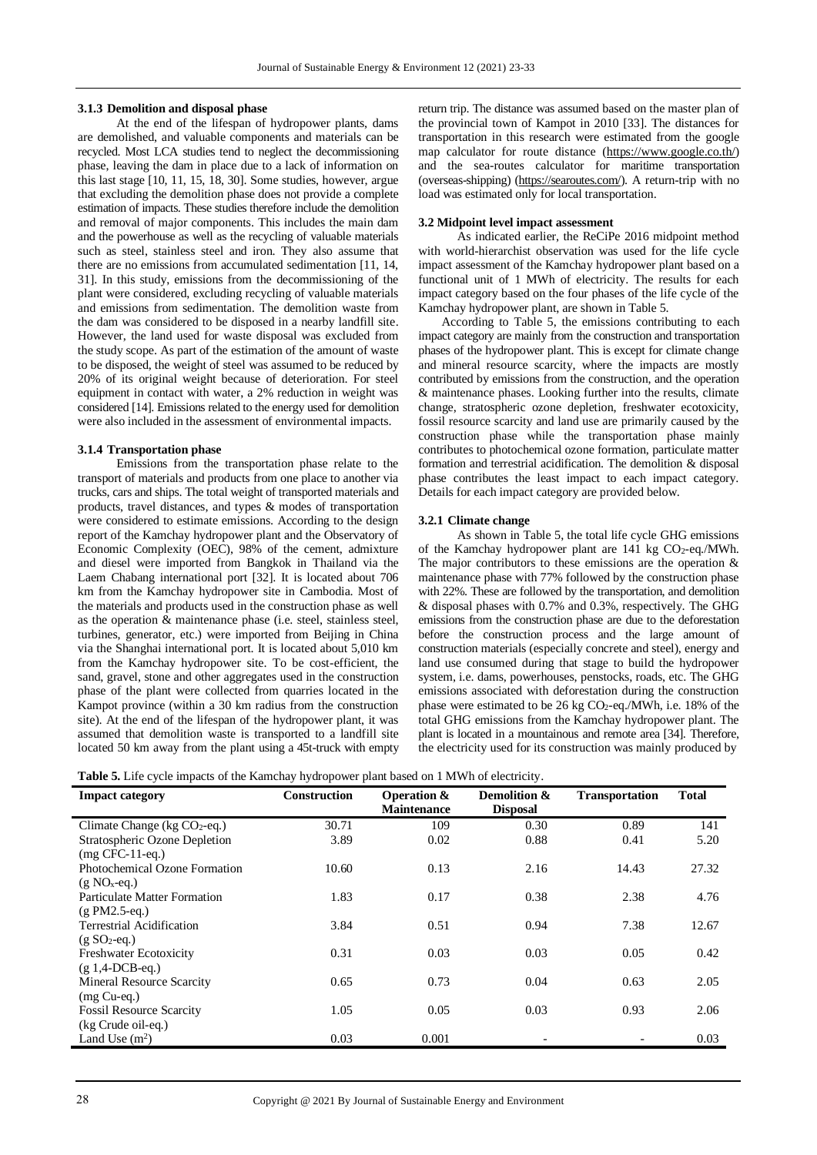## **3.1.3 Demolition and disposal phase**

At the end of the lifespan of hydropower plants, dams are demolished, and valuable components and materials can be recycled. Most LCA studies tend to neglect the decommissioning phase, leaving the dam in place due to a lack of information on this last stage [10, 11, 15, 18, 30]. Some studies, however, argue that excluding the demolition phase does not provide a complete estimation of impacts. These studies therefore include the demolition and removal of major components. This includes the main dam and the powerhouse as well as the recycling of valuable materials such as steel, stainless steel and iron. They also assume that there are no emissions from accumulated sedimentation [11, 14, 31]. In this study, emissions from the decommissioning of the plant were considered, excluding recycling of valuable materials and emissions from sedimentation. The demolition waste from the dam was considered to be disposed in a nearby landfill site. However, the land used for waste disposal was excluded from the study scope. As part of the estimation of the amount of waste to be disposed, the weight of steel was assumed to be reduced by 20% of its original weight because of deterioration. For steel equipment in contact with water, a 2% reduction in weight was considered [14]. Emissions related to the energy used for demolition were also included in the assessment of environmental impacts.

## **3.1.4 Transportation phase**

Emissions from the transportation phase relate to the transport of materials and products from one place to another via trucks, cars and ships. The total weight of transported materials and products, travel distances, and types & modes of transportation were considered to estimate emissions. According to the design report of the Kamchay hydropower plant and the Observatory of Economic Complexity (OEC), 98% of the cement, admixture and diesel were imported from Bangkok in Thailand via the Laem Chabang international port [32]. It is located about 706 km from the Kamchay hydropower site in Cambodia. Most of the materials and products used in the construction phase as well as the operation  $\&$  maintenance phase (i.e. steel, stainless steel, turbines, generator, etc.) were imported from Beijing in China via the Shanghai international port. It is located about 5,010 km from the Kamchay hydropower site. To be cost-efficient, the sand, gravel, stone and other aggregates used in the construction phase of the plant were collected from quarries located in the Kampot province (within a 30 km radius from the construction site). At the end of the lifespan of the hydropower plant, it was assumed that demolition waste is transported to a landfill site located 50 km away from the plant using a 45t-truck with empty return trip. The distance was assumed based on the master plan of the provincial town of Kampot in 2010 [33]. The distances for transportation in this research were estimated from the google map calculator for route distance [\(https://www.google.co.th/\)](https://www.google.co.th/) and the sea-routes calculator for maritime transportation (overseas-shipping) [\(https://searoutes.com/\)](https://searoutes.com/). A return-trip with no load was estimated only for local transportation.

## **3.2 Midpoint level impact assessment**

As indicated earlier, the ReCiPe 2016 midpoint method with world-hierarchist observation was used for the life cycle impact assessment of the Kamchay hydropower plant based on a functional unit of 1 MWh of electricity. The results for each impact category based on the four phases of the life cycle of the Kamchay hydropower plant, are shown in Table 5.

According to Table 5, the emissions contributing to each impact category are mainly from the construction and transportation phases of the hydropower plant. This is except for climate change and mineral resource scarcity, where the impacts are mostly contributed by emissions from the construction, and the operation & maintenance phases. Looking further into the results, climate change, stratospheric ozone depletion, freshwater ecotoxicity, fossil resource scarcity and land use are primarily caused by the construction phase while the transportation phase mainly contributes to photochemical ozone formation, particulate matter formation and terrestrial acidification. The demolition & disposal phase contributes the least impact to each impact category. Details for each impact category are provided below.

## **3.2.1 Climate change**

As shown in Table 5, the total life cycle GHG emissions of the Kamchay hydropower plant are  $141 \text{ kg CO}_2\text{-eq.}/\text{MWh}$ . The major contributors to these emissions are the operation & maintenance phase with 77% followed by the construction phase with 22%. These are followed by the transportation, and demolition & disposal phases with 0.7% and 0.3%, respectively. The GHG emissions from the construction phase are due to the deforestation before the construction process and the large amount of construction materials (especially concrete and steel), energy and land use consumed during that stage to build the hydropower system, i.e. dams, powerhouses, penstocks, roads, etc. The GHG emissions associated with deforestation during the construction phase were estimated to be 26 kg CO2-eq./MWh, i.e. 18% of the total GHG emissions from the Kamchay hydropower plant. The plant is located in a mountainous and remote area [34]. Therefore, the electricity used for its construction was mainly produced by

|  | <b>Table 5.</b> Life cycle impacts of the Kamchay hydropower plant based on 1 MWh of electricity. |
|--|---------------------------------------------------------------------------------------------------|
|  |                                                                                                   |

| <b>Impact category</b>              | <b>Construction</b> | <b>Operation &amp;</b><br><b>Maintenance</b> | Demolition &<br><b>Disposal</b> | <b>Transportation</b> | <b>Total</b> |
|-------------------------------------|---------------------|----------------------------------------------|---------------------------------|-----------------------|--------------|
| Climate Change ( $kg CO2$ -eq.)     | 30.71               | 109                                          | 0.30                            | 0.89                  | 141          |
| Stratospheric Ozone Depletion       | 3.89                | 0.02                                         | 0.88                            | 0.41                  | 5.20         |
| $(mg$ CFC-11-eq.)                   |                     |                                              |                                 |                       |              |
| Photochemical Ozone Formation       | 10.60               | 0.13                                         | 2.16                            | 14.43                 | 27.32        |
| $(g NOx-eq.)$                       |                     |                                              |                                 |                       |              |
| <b>Particulate Matter Formation</b> | 1.83                | 0.17                                         | 0.38                            | 2.38                  | 4.76         |
| $(g PM2.5 - eq.)$                   |                     |                                              |                                 |                       |              |
| <b>Terrestrial Acidification</b>    | 3.84                | 0.51                                         | 0.94                            | 7.38                  | 12.67        |
| $(g SO2-eq.)$                       |                     |                                              |                                 |                       |              |
| <b>Freshwater Ecotoxicity</b>       | 0.31                | 0.03                                         | 0.03                            | 0.05                  | 0.42         |
| $(g 1,4-DCB-eq.)$                   |                     |                                              |                                 |                       |              |
| <b>Mineral Resource Scarcity</b>    | 0.65                | 0.73                                         | 0.04                            | 0.63                  | 2.05         |
| $(mg Cu-eq.)$                       |                     |                                              |                                 |                       |              |
| <b>Fossil Resource Scarcity</b>     | 1.05                | 0.05                                         | 0.03                            | 0.93                  | 2.06         |
| (kg Crude oil-eq.)                  |                     |                                              |                                 |                       |              |
| Land Use $(m2)$                     | 0.03                | 0.001                                        |                                 |                       | 0.03         |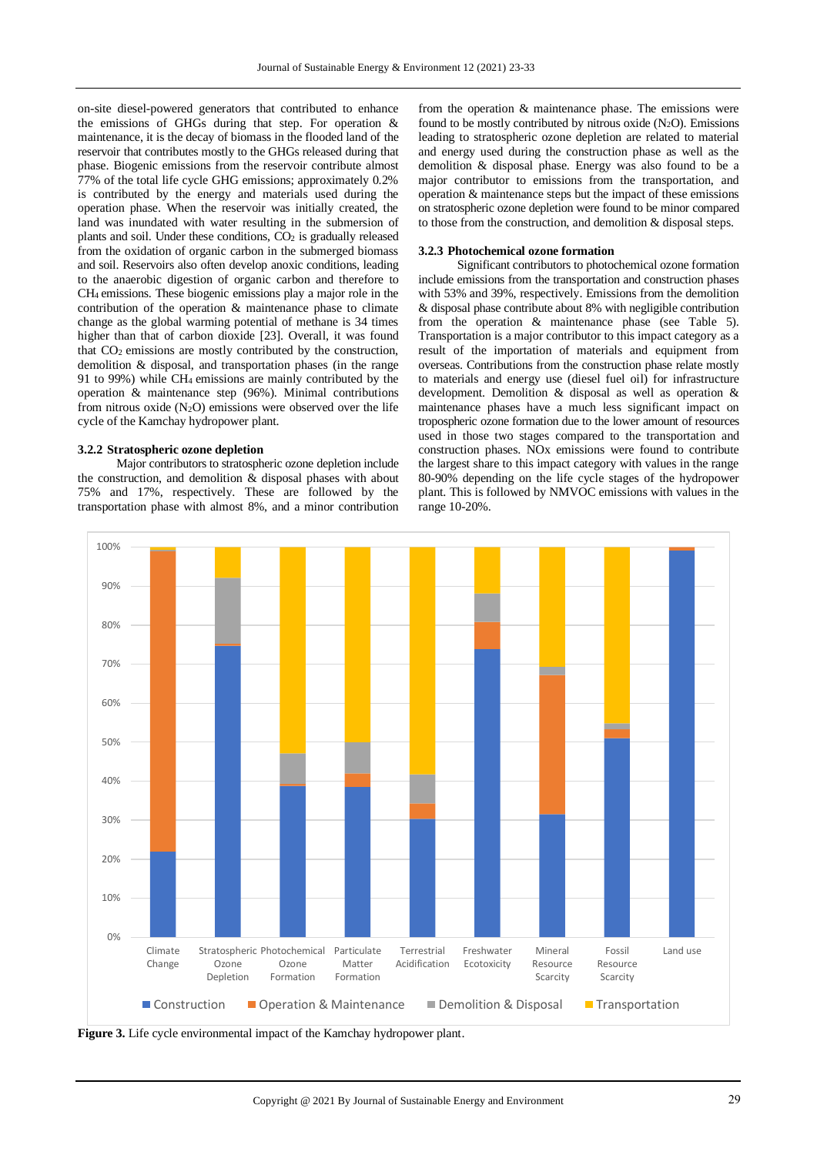on-site diesel-powered generators that contributed to enhance the emissions of GHGs during that step. For operation & maintenance, it is the decay of biomass in the flooded land of the reservoir that contributes mostly to the GHGs released during that phase. Biogenic emissions from the reservoir contribute almost 77% of the total life cycle GHG emissions; approximately 0.2% is contributed by the energy and materials used during the operation phase. When the reservoir was initially created, the land was inundated with water resulting in the submersion of plants and soil. Under these conditions, CO<sup>2</sup> is gradually released from the oxidation of organic carbon in the submerged biomass and soil. Reservoirs also often develop anoxic conditions, leading to the anaerobic digestion of organic carbon and therefore to CH4 emissions. These biogenic emissions play a major role in the contribution of the operation & maintenance phase to climate change as the global warming potential of methane is 34 times higher than that of carbon dioxide [23]. Overall, it was found that CO2 emissions are mostly contributed by the construction, demolition & disposal, and transportation phases (in the range 91 to 99%) while CH4 emissions are mainly contributed by the operation & maintenance step (96%). Minimal contributions from nitrous oxide  $(N_2O)$  emissions were observed over the life cycle of the Kamchay hydropower plant.

## **3.2.2 Stratospheric ozone depletion**

Major contributors to stratospheric ozone depletion include the construction, and demolition  $\&$  disposal phases with about 75% and 17%, respectively. These are followed by the transportation phase with almost 8%, and a minor contribution from the operation & maintenance phase. The emissions were found to be mostly contributed by nitrous oxide  $(N_2O)$ . Emissions leading to stratospheric ozone depletion are related to material and energy used during the construction phase as well as the demolition & disposal phase. Energy was also found to be a major contributor to emissions from the transportation, and operation & maintenance steps but the impact of these emissions on stratospheric ozone depletion were found to be minor compared to those from the construction, and demolition & disposal steps.

# **3.2.3 Photochemical ozone formation**

Significant contributors to photochemical ozone formation include emissions from the transportation and construction phases with 53% and 39%, respectively. Emissions from the demolition & disposal phase contribute about 8% with negligible contribution from the operation & maintenance phase (see Table 5). Transportation is a major contributor to this impact category as a result of the importation of materials and equipment from overseas. Contributions from the construction phase relate mostly to materials and energy use (diesel fuel oil) for infrastructure development. Demolition & disposal as well as operation & maintenance phases have a much less significant impact on tropospheric ozone formation due to the lower amount of resources used in those two stages compared to the transportation and construction phases. NOx emissions were found to contribute the largest share to this impact category with values in the range 80-90% depending on the life cycle stages of the hydropower plant. This is followed by NMVOC emissions with values in the range 10-20%.



**Figure 3.** Life cycle environmental impact of the Kamchay hydropower plant.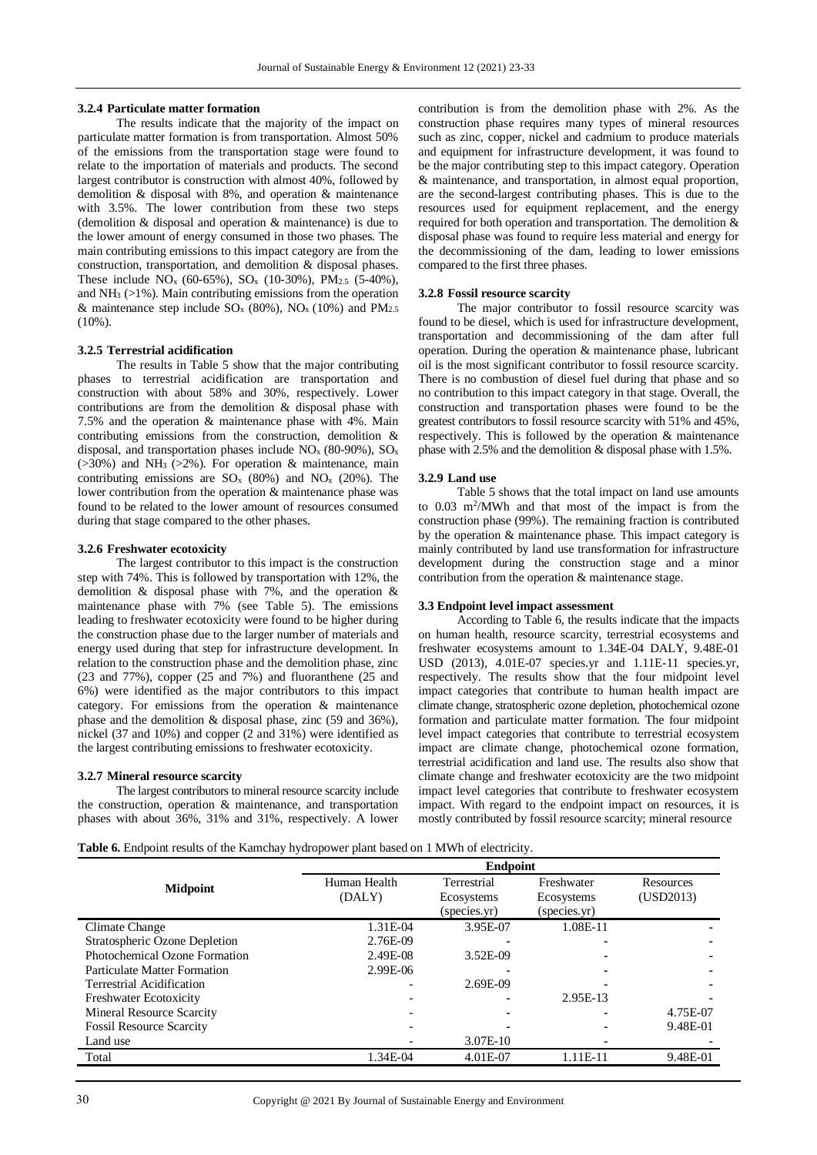#### **3.2.4 Particulate matter formation**

The results indicate that the majority of the impact on particulate matter formation is from transportation. Almost 50% of the emissions from the transportation stage were found to relate to the importation of materials and products. The second largest contributor is construction with almost 40%, followed by demolition & disposal with 8%, and operation & maintenance with 3.5%. The lower contribution from these two steps (demolition & disposal and operation & maintenance) is due to the lower amount of energy consumed in those two phases. The main contributing emissions to this impact category are from the construction, transportation, and demolition & disposal phases. These include  $NO_x$  (60-65%),  $SO_x$  (10-30%),  $PM_{2.5}$  (5-40%), and  $NH<sub>3</sub> (>1%)$ . Main contributing emissions from the operation & maintenance step include  $SO_x$  (80%), NO<sub>x</sub> (10%) and PM<sub>2.5</sub>  $(10\%)$ .

# **3.2.5 Terrestrial acidification**

The results in Table 5 show that the major contributing phases to terrestrial acidification are transportation and construction with about 58% and 30%, respectively. Lower contributions are from the demolition & disposal phase with 7.5% and the operation & maintenance phase with 4%. Main contributing emissions from the construction, demolition & disposal, and transportation phases include  $NO<sub>x</sub>$  (80-90%),  $SO<sub>x</sub>$  $(>30\%)$  and NH<sub>3</sub>  $(>2\%)$ . For operation & maintenance, main contributing emissions are  $SO_x(80%)$  and  $NO_x(20%)$ . The lower contribution from the operation & maintenance phase was found to be related to the lower amount of resources consumed during that stage compared to the other phases.

## **3.2.6 Freshwater ecotoxicity**

The largest contributor to this impact is the construction step with 74%. This is followed by transportation with 12%, the demolition & disposal phase with 7%, and the operation & maintenance phase with 7% (see Table 5). The emissions leading to freshwater ecotoxicity were found to be higher during the construction phase due to the larger number of materials and energy used during that step for infrastructure development. In relation to the construction phase and the demolition phase, zinc (23 and 77%), copper (25 and 7%) and fluoranthene (25 and 6%) were identified as the major contributors to this impact category. For emissions from the operation & maintenance phase and the demolition & disposal phase, zinc (59 and 36%), nickel (37 and 10%) and copper (2 and 31%) were identified as the largest contributing emissions to freshwater ecotoxicity.

## **3.2.7 Mineral resource scarcity**

The largest contributors to mineral resource scarcity include the construction, operation & maintenance, and transportation phases with about 36%, 31% and 31%, respectively. A lower contribution is from the demolition phase with 2%. As the construction phase requires many types of mineral resources such as zinc, copper, nickel and cadmium to produce materials and equipment for infrastructure development, it was found to be the major contributing step to this impact category. Operation & maintenance, and transportation, in almost equal proportion, are the second-largest contributing phases. This is due to the resources used for equipment replacement, and the energy required for both operation and transportation. The demolition & disposal phase was found to require less material and energy for the decommissioning of the dam, leading to lower emissions compared to the first three phases.

# **3.2.8 Fossil resource scarcity**

The major contributor to fossil resource scarcity was found to be diesel, which is used for infrastructure development, transportation and decommissioning of the dam after full operation. During the operation & maintenance phase, lubricant oil is the most significant contributor to fossil resource scarcity. There is no combustion of diesel fuel during that phase and so no contribution to this impact category in that stage. Overall, the construction and transportation phases were found to be the greatest contributors to fossil resource scarcity with 51% and 45%, respectively. This is followed by the operation & maintenance phase with 2.5% and the demolition & disposal phase with 1.5%.

#### **3.2.9 Land use**

Table 5 shows that the total impact on land use amounts to 0.03 m<sup>2</sup> /MWh and that most of the impact is from the construction phase (99%). The remaining fraction is contributed by the operation & maintenance phase. This impact category is mainly contributed by land use transformation for infrastructure development during the construction stage and a minor contribution from the operation & maintenance stage.

## **3.3 Endpoint level impact assessment**

According to Table 6, the results indicate that the impacts on human health, resource scarcity, terrestrial ecosystems and freshwater ecosystems amount to 1.34E-04 DALY, 9.48E-01 USD (2013), 4.01E-07 species.yr and 1.11E-11 species.yr, respectively. The results show that the four midpoint level impact categories that contribute to human health impact are climate change, stratospheric ozone depletion, photochemical ozone formation and particulate matter formation. The four midpoint level impact categories that contribute to terrestrial ecosystem impact are climate change, photochemical ozone formation, terrestrial acidification and land use. The results also show that climate change and freshwater ecotoxicity are the two midpoint impact level categories that contribute to freshwater ecosystem impact. With regard to the endpoint impact on resources, it is mostly contributed by fossil resource scarcity; mineral resource

**Table 6.** Endpoint results of the Kamchay hydropower plant based on 1 MWh of electricity.

|                                  | <b>Endpoint</b> |              |              |           |  |
|----------------------------------|-----------------|--------------|--------------|-----------|--|
| <b>Midpoint</b>                  | Human Health    | Terrestrial  | Freshwater   | Resources |  |
|                                  | (DALY)          | Ecosystems   | Ecosystems   | (USD2013) |  |
|                                  |                 | (species.yr) | (species.yr) |           |  |
| Climate Change                   | 1.31E-04        | 3.95E-07     | 1.08E-11     |           |  |
| Stratospheric Ozone Depletion    | 2.76E-09        |              |              |           |  |
| Photochemical Ozone Formation    | 2.49E-08        | 3.52E-09     |              |           |  |
| Particulate Matter Formation     | 2.99E-06        |              |              |           |  |
| Terrestrial Acidification        |                 | 2.69E-09     |              |           |  |
| <b>Freshwater Ecotoxicity</b>    |                 |              | 2.95E-13     |           |  |
| <b>Mineral Resource Scarcity</b> |                 |              |              | 4.75E-07  |  |
| <b>Fossil Resource Scarcity</b>  |                 |              |              | 9.48E-01  |  |
| Land use                         |                 | 3.07E-10     |              |           |  |
| Total                            | 1.34E-04        | 4.01E-07     | 1.11E-11     | 9.48E-01  |  |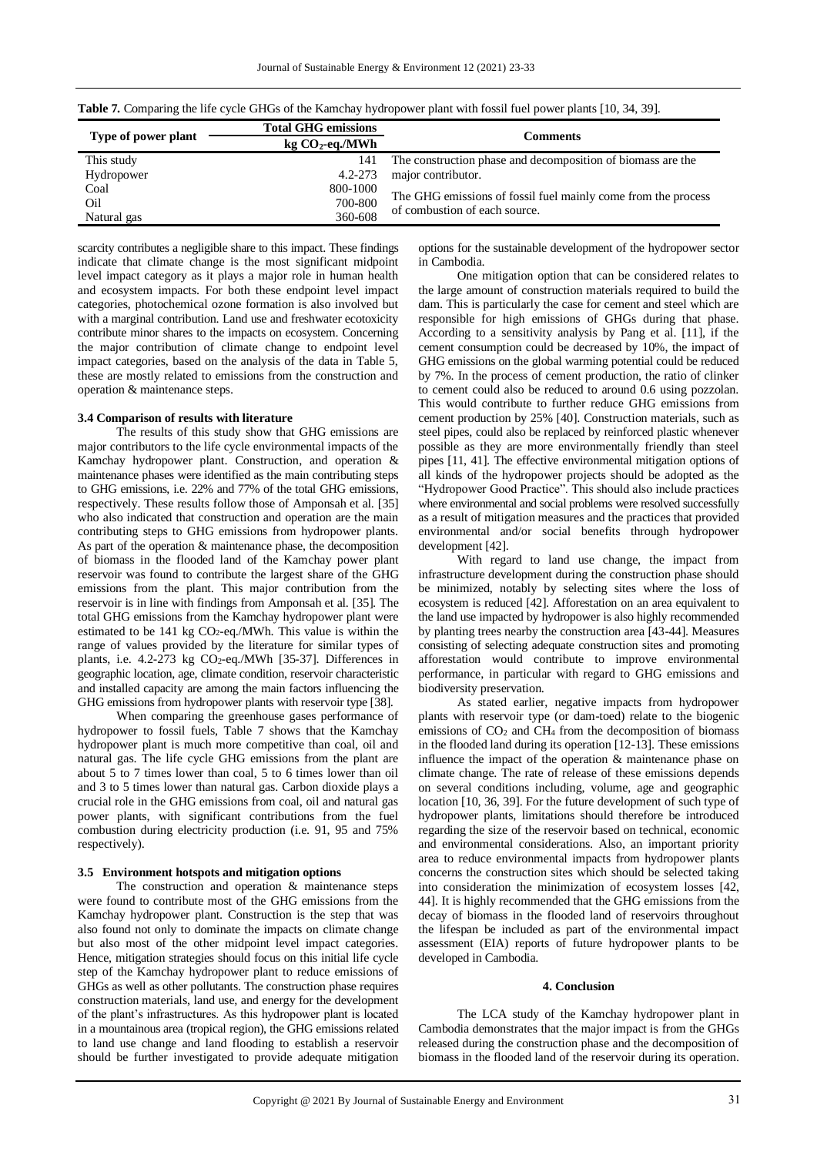| Type of power plant | <b>Total GHG emissions</b> | <b>Comments</b>                                               |
|---------------------|----------------------------|---------------------------------------------------------------|
|                     | $kg CO2-eq/MWh$            |                                                               |
| This study          | 141                        | The construction phase and decomposition of biomass are the   |
| Hydropower          | $4.2 - 273$                | major contributor.                                            |
| Coal                | 800-1000                   | The GHG emissions of fossil fuel mainly come from the process |
| Oil                 | 700-800                    | of combustion of each source.                                 |
| Natural gas         | 360-608                    |                                                               |

**Table 7.** Comparing the life cycle GHGs of the Kamchay hydropower plant with fossil fuel power plants [10, 34, 39].

scarcity contributes a negligible share to this impact. These findings indicate that climate change is the most significant midpoint level impact category as it plays a major role in human health and ecosystem impacts. For both these endpoint level impact categories, photochemical ozone formation is also involved but with a marginal contribution. Land use and freshwater ecotoxicity contribute minor shares to the impacts on ecosystem. Concerning the major contribution of climate change to endpoint level impact categories, based on the analysis of the data in Table 5, these are mostly related to emissions from the construction and operation & maintenance steps.

## **3.4 Comparison of results with literature**

The results of this study show that GHG emissions are major contributors to the life cycle environmental impacts of the Kamchay hydropower plant. Construction, and operation & maintenance phases were identified as the main contributing steps to GHG emissions, i.e. 22% and 77% of the total GHG emissions, respectively. These results follow those of Amponsah et al. [35] who also indicated that construction and operation are the main contributing steps to GHG emissions from hydropower plants. As part of the operation & maintenance phase, the decomposition of biomass in the flooded land of the Kamchay power plant reservoir was found to contribute the largest share of the GHG emissions from the plant. This major contribution from the reservoir is in line with findings from Amponsah et al. [35]. The total GHG emissions from the Kamchay hydropower plant were estimated to be  $141 \text{ kg CO}_2$ -eq./MWh. This value is within the range of values provided by the literature for similar types of plants, i.e.  $4.2-273$  kg CO<sub>2</sub>-eq./MWh [35-37]. Differences in geographic location, age, climate condition, reservoir characteristic and installed capacity are among the main factors influencing the GHG emissions from hydropower plants with reservoir type [38].

When comparing the greenhouse gases performance of hydropower to fossil fuels, Table 7 shows that the Kamchay hydropower plant is much more competitive than coal, oil and natural gas. The life cycle GHG emissions from the plant are about 5 to 7 times lower than coal, 5 to 6 times lower than oil and 3 to 5 times lower than natural gas. Carbon dioxide plays a crucial role in the GHG emissions from coal, oil and natural gas power plants, with significant contributions from the fuel combustion during electricity production (i.e. 91, 95 and 75% respectively).

### **3.5 Environment hotspots and mitigation options**

The construction and operation & maintenance steps were found to contribute most of the GHG emissions from the Kamchay hydropower plant. Construction is the step that was also found not only to dominate the impacts on climate change but also most of the other midpoint level impact categories. Hence, mitigation strategies should focus on this initial life cycle step of the Kamchay hydropower plant to reduce emissions of GHGs as well as other pollutants. The construction phase requires construction materials, land use, and energy for the development of the plant's infrastructures. As this hydropower plant is located in a mountainous area (tropical region), the GHG emissions related to land use change and land flooding to establish a reservoir should be further investigated to provide adequate mitigation options for the sustainable development of the hydropower sector in Cambodia.

One mitigation option that can be considered relates to the large amount of construction materials required to build the dam. This is particularly the case for cement and steel which are responsible for high emissions of GHGs during that phase. According to a sensitivity analysis by Pang et al. [11], if the cement consumption could be decreased by 10%, the impact of GHG emissions on the global warming potential could be reduced by 7%. In the process of cement production, the ratio of clinker to cement could also be reduced to around 0.6 using pozzolan. This would contribute to further reduce GHG emissions from cement production by 25% [40]. Construction materials, such as steel pipes, could also be replaced by reinforced plastic whenever possible as they are more environmentally friendly than steel pipes [11, 41]. The effective environmental mitigation options of all kinds of the hydropower projects should be adopted as the "Hydropower Good Practice". This should also include practices where environmental and social problems were resolved successfully as a result of mitigation measures and the practices that provided environmental and/or social benefits through hydropower development [42].

With regard to land use change, the impact from infrastructure development during the construction phase should be minimized, notably by selecting sites where the loss of ecosystem is reduced [42]. Afforestation on an area equivalent to the land use impacted by hydropower is also highly recommended by planting trees nearby the construction area [43-44]. Measures consisting of selecting adequate construction sites and promoting afforestation would contribute to improve environmental performance, in particular with regard to GHG emissions and biodiversity preservation.

As stated earlier, negative impacts from hydropower plants with reservoir type (or dam-toed) relate to the biogenic emissions of CO2 and CH4 from the decomposition of biomass in the flooded land during its operation [12-13]. These emissions influence the impact of the operation & maintenance phase on climate change. The rate of release of these emissions depends on several conditions including, volume, age and geographic location [10, 36, 39]. For the future development of such type of hydropower plants, limitations should therefore be introduced regarding the size of the reservoir based on technical, economic and environmental considerations. Also, an important priority area to reduce environmental impacts from hydropower plants concerns the construction sites which should be selected taking into consideration the minimization of ecosystem losses [42, 44]. It is highly recommended that the GHG emissions from the decay of biomass in the flooded land of reservoirs throughout the lifespan be included as part of the environmental impact assessment (EIA) reports of future hydropower plants to be developed in Cambodia.

# **4. Conclusion**

The LCA study of the Kamchay hydropower plant in Cambodia demonstrates that the major impact is from the GHGs released during the construction phase and the decomposition of biomass in the flooded land of the reservoir during its operation.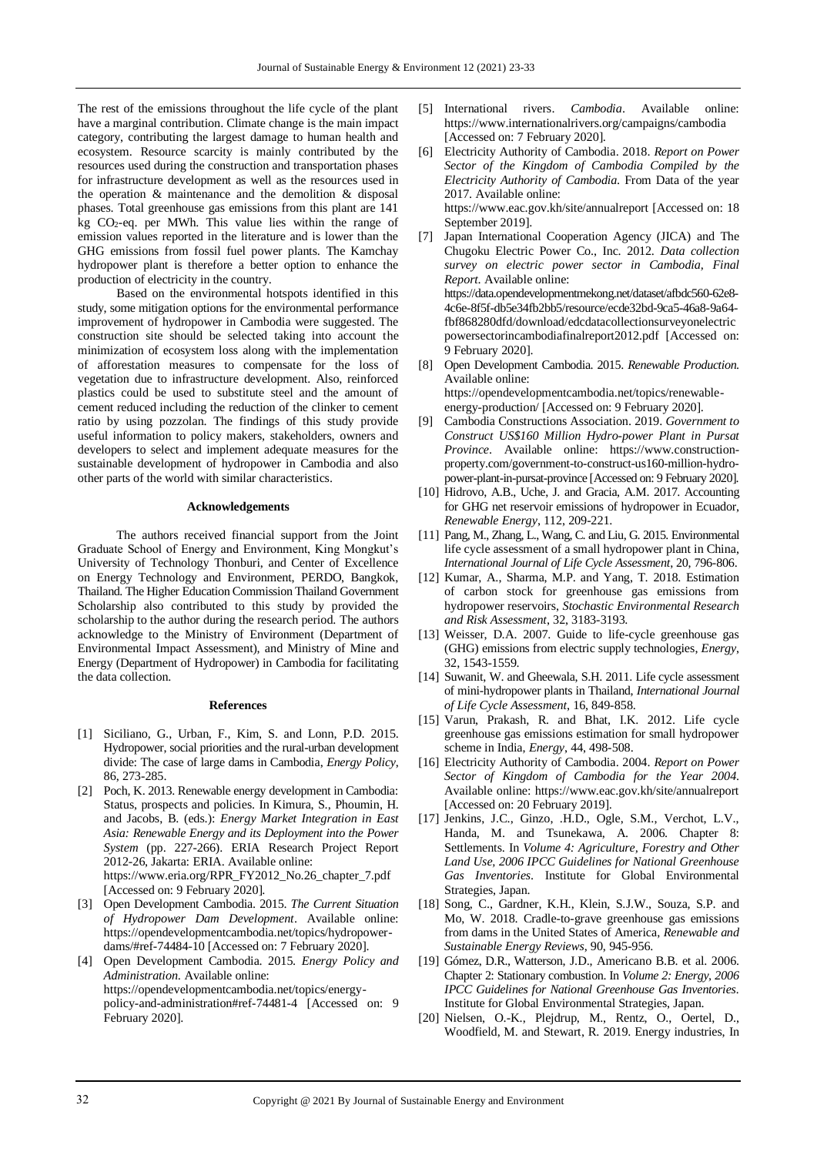The rest of the emissions throughout the life cycle of the plant have a marginal contribution. Climate change is the main impact category, contributing the largest damage to human health and ecosystem. Resource scarcity is mainly contributed by the resources used during the construction and transportation phases for infrastructure development as well as the resources used in the operation & maintenance and the demolition & disposal phases. Total greenhouse gas emissions from this plant are 141 kg CO2-eq. per MWh. This value lies within the range of emission values reported in the literature and is lower than the GHG emissions from fossil fuel power plants. The Kamchay hydropower plant is therefore a better option to enhance the production of electricity in the country.

Based on the environmental hotspots identified in this study, some mitigation options for the environmental performance improvement of hydropower in Cambodia were suggested. The construction site should be selected taking into account the minimization of ecosystem loss along with the implementation of afforestation measures to compensate for the loss of vegetation due to infrastructure development. Also, reinforced plastics could be used to substitute steel and the amount of cement reduced including the reduction of the clinker to cement ratio by using pozzolan. The findings of this study provide useful information to policy makers, stakeholders, owners and developers to select and implement adequate measures for the sustainable development of hydropower in Cambodia and also other parts of the world with similar characteristics.

## **Acknowledgements**

The authors received financial support from the Joint Graduate School of Energy and Environment, King Mongkut's University of Technology Thonburi, and Center of Excellence on Energy Technology and Environment, PERDO, Bangkok, Thailand. The Higher Education Commission Thailand Government Scholarship also contributed to this study by provided the scholarship to the author during the research period. The authors acknowledge to the Ministry of Environment (Department of Environmental Impact Assessment), and Ministry of Mine and Energy (Department of Hydropower) in Cambodia for facilitating the data collection.

#### **References**

- [1] Siciliano, G., Urban, F., Kim, S. and Lonn, P.D. 2015. Hydropower, social priorities and the rural-urban development divide: The case of large dams in Cambodia, *Energy Policy*, 86, 273-285.
- [2] Poch, K. 2013. Renewable energy development in Cambodia: Status, prospects and policies. In Kimura, S., Phoumin, H. and Jacobs, B. (eds.): *Energy Market Integration in East Asia: Renewable Energy and its Deployment into the Power System* (pp. 227-266). ERIA Research Project Report 2012-26, Jakarta: ERIA. Available online: https://www.eria.org/RPR\_FY2012\_No.26\_chapter\_7.pdf [Accessed on: 9 February 2020].
- [3] Open Development Cambodia. 2015. *The Current Situation of Hydropower Dam Development*. Available online: https://opendevelopmentcambodia.net/topics/hydropowerdams/#ref-74484-10 [Accessed on: 7 February 2020].
- [4] Open Development Cambodia. 2015. *Energy Policy and Administration*. Available online: https://opendevelopmentcambodia.net/topics/energypolicy-and-administration#ref-74481-4 [Accessed on: 9 February 2020].
- [5] International rivers. *Cambodia*. Available online: https://www.internationalrivers.org/campaigns/cambodia [Accessed on: 7 February 2020].
- [6] Electricity Authority of Cambodia. 2018. *Report on Power Sector of the Kingdom of Cambodia Compiled by the Electricity Authority of Cambodia*. From Data of the year 2017. Available online: https://www.eac.gov.kh/site/annualreport [Accessed on: 18 September 2019].
- [7] Japan International Cooperation Agency (JICA) and The Chugoku Electric Power Co., Inc. 2012. *Data collection survey on electric power sector in Cambodia, Final Report*. Available online: https://data.opendevelopmentmekong.net/dataset/afbdc560-62e8- 4c6e-8f5f-db5e34fb2bb5/resource/ecde32bd-9ca5-46a8-9a64 fbf868280dfd/download/edcdatacollectionsurveyonelectric powersectorincambodiafinalreport2012.pdf [Accessed on: 9 February 2020].
- [8] Open Development Cambodia. 2015. *Renewable Production*. Available online: https://opendevelopmentcambodia.net/topics/renewableenergy-production/ [Accessed on: 9 February 2020].
- [9] Cambodia Constructions Association. 2019. *Government to Construct US\$160 Million Hydro-power Plant in Pursat Province*. Available online: https://www.constructionproperty.com/government-to-construct-us160-million-hydropower-plant-in-pursat-province [Accessed on: 9 February 2020].
- [10] Hidrovo, A.B., Uche, J. and Gracia, A.M. 2017. Accounting for GHG net reservoir emissions of hydropower in Ecuador, *Renewable Energy*, 112, 209-221.
- [11] Pang, M., Zhang, L., Wang, C. and Liu, G. 2015. Environmental life cycle assessment of a small hydropower plant in China, *International Journal of Life Cycle Assessment*, 20, 796-806.
- [12] Kumar, A., Sharma, M.P. and Yang, T. 2018. Estimation of carbon stock for greenhouse gas emissions from hydropower reservoirs, *Stochastic Environmental Research and Risk Assessment*, 32, 3183-3193.
- [13] Weisser, D.A. 2007. Guide to life-cycle greenhouse gas (GHG) emissions from electric supply technologies, *Energy*, 32, 1543-1559.
- [14] Suwanit, W. and Gheewala, S.H. 2011. Life cycle assessment of mini-hydropower plants in Thailand, *International Journal of Life Cycle Assessment*, 16, 849-858.
- [15] Varun, Prakash, R. and Bhat, I.K. 2012. Life cycle greenhouse gas emissions estimation for small hydropower scheme in India, *Energy*, 44, 498-508.
- [16] Electricity Authority of Cambodia. 2004. *Report on Power Sector of Kingdom of Cambodia for the Year 2004*. Available online: https://www.eac.gov.kh/site/annualreport [Accessed on: 20 February 2019].
- [17] Jenkins, J.C., Ginzo, .H.D., Ogle, S.M., Verchot, L.V., Handa, M. and Tsunekawa, A. 2006. Chapter 8: Settlements. In *Volume 4: Agriculture, Forestry and Other Land Use, 2006 IPCC Guidelines for National Greenhouse Gas Inventories*. Institute for Global Environmental Strategies, Japan.
- [18] Song, C., Gardner, K.H., Klein, S.J.W., Souza, S.P. and Mo, W. 2018. Cradle-to-grave greenhouse gas emissions from dams in the United States of America, *Renewable and Sustainable Energy Reviews*, 90, 945-956.
- [19] Gómez, D.R., Watterson, J.D., Americano B.B. et al. 2006. Chapter 2: Stationary combustion. In *Volume 2: Energy, 2006 IPCC Guidelines for National Greenhouse Gas Inventories.* Institute for Global Environmental Strategies, Japan.
- [20] Nielsen, O.-K., Plejdrup, M., Rentz, O., Oertel, D., Woodfield, M. and Stewart, R. 2019. Energy industries, In